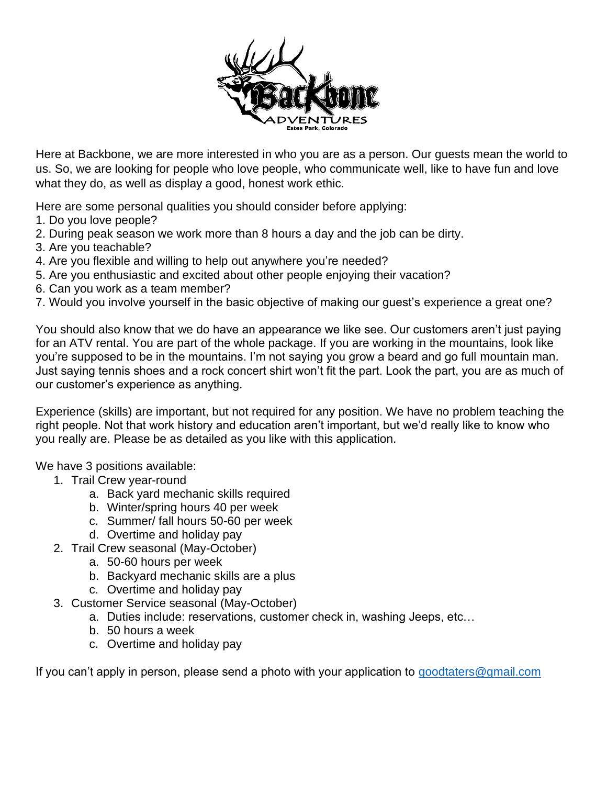

Here at Backbone, we are more interested in who you are as a person. Our guests mean the world to us. So, we are looking for people who love people, who communicate well, like to have fun and love what they do, as well as display a good, honest work ethic.

Here are some personal qualities you should consider before applying:

- 1. Do you love people?
- 2. During peak season we work more than 8 hours a day and the job can be dirty.
- 3. Are you teachable?
- 4. Are you flexible and willing to help out anywhere you're needed?
- 5. Are you enthusiastic and excited about other people enjoying their vacation?
- 6. Can you work as a team member?
- 7. Would you involve yourself in the basic objective of making our guest's experience a great one?

You should also know that we do have an appearance we like see. Our customers aren't just paying for an ATV rental. You are part of the whole package. If you are working in the mountains, look like you're supposed to be in the mountains. I'm not saying you grow a beard and go full mountain man. Just saying tennis shoes and a rock concert shirt won't fit the part. Look the part, you are as much of our customer's experience as anything.

Experience (skills) are important, but not required for any position. We have no problem teaching the right people. Not that work history and education aren't important, but we'd really like to know who you really are. Please be as detailed as you like with this application.

We have 3 positions available:

- 1. Trail Crew year-round
	- a. Back yard mechanic skills required
	- b. Winter/spring hours 40 per week
	- c. Summer/ fall hours 50-60 per week
	- d. Overtime and holiday pay
- 2. Trail Crew seasonal (May-October)
	- a. 50-60 hours per week
	- b. Backyard mechanic skills are a plus
	- c. Overtime and holiday pay
- 3. Customer Service seasonal (May-October)
	- a. Duties include: reservations, customer check in, washing Jeeps, etc…
	- b. 50 hours a week
	- c. Overtime and holiday pay

If you can't apply in person, please send a photo with your application to [goodtaters@gmail.com](mailto:goodtaters@gmail.com)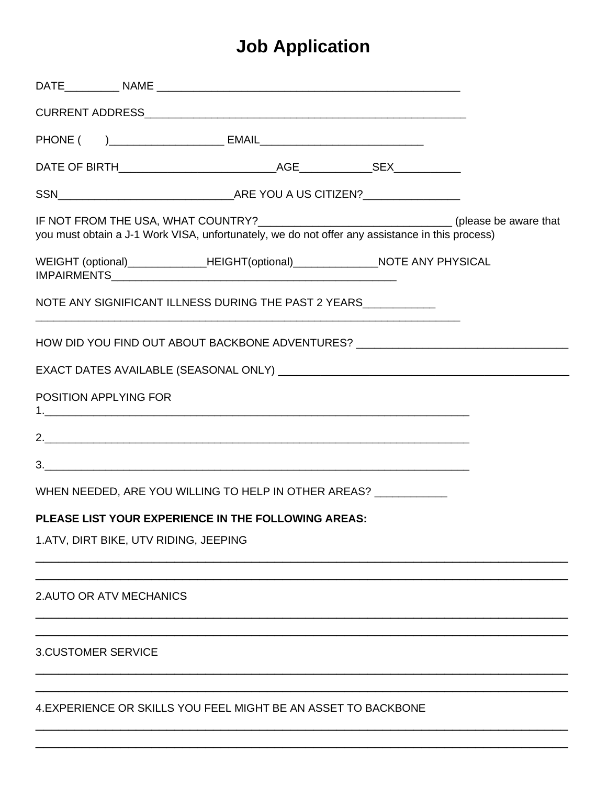## **Job Application**

|                                       | IF NOT FROM THE USA, WHAT COUNTRY?_______________________________(please be aware that<br>you must obtain a J-1 Work VISA, unfortunately, we do not offer any assistance in this process) |  |
|---------------------------------------|-------------------------------------------------------------------------------------------------------------------------------------------------------------------------------------------|--|
|                                       | WEIGHT (optional)_______________HEIGHT(optional)_________________NOTE ANY PHYSICAL                                                                                                        |  |
|                                       | NOTE ANY SIGNIFICANT ILLNESS DURING THE PAST 2 YEARS MALLET AND THE PAST 2 YEARS                                                                                                          |  |
|                                       | HOW DID YOU FIND OUT ABOUT BACKBONE ADVENTURES? ________________________________                                                                                                          |  |
|                                       |                                                                                                                                                                                           |  |
| POSITION APPLYING FOR                 |                                                                                                                                                                                           |  |
|                                       |                                                                                                                                                                                           |  |
|                                       |                                                                                                                                                                                           |  |
|                                       | WHEN NEEDED, ARE YOU WILLING TO HELP IN OTHER AREAS? ____________                                                                                                                         |  |
|                                       | PLEASE LIST YOUR EXPERIENCE IN THE FOLLOWING AREAS:                                                                                                                                       |  |
| 1.ATV, DIRT BIKE, UTV RIDING, JEEPING |                                                                                                                                                                                           |  |
| 2. AUTO OR ATV MECHANICS              |                                                                                                                                                                                           |  |
| <b>3.CUSTOMER SERVICE</b>             |                                                                                                                                                                                           |  |
|                                       | 4. EXPERIENCE OR SKILLS YOU FEEL MIGHT BE AN ASSET TO BACKBONE                                                                                                                            |  |

\_\_\_\_\_\_\_\_\_\_\_\_\_\_\_\_\_\_\_\_\_\_\_\_\_\_\_\_\_\_\_\_\_\_\_\_\_\_\_\_\_\_\_\_\_\_\_\_\_\_\_\_\_\_\_\_\_\_\_\_\_\_\_\_\_\_\_\_\_